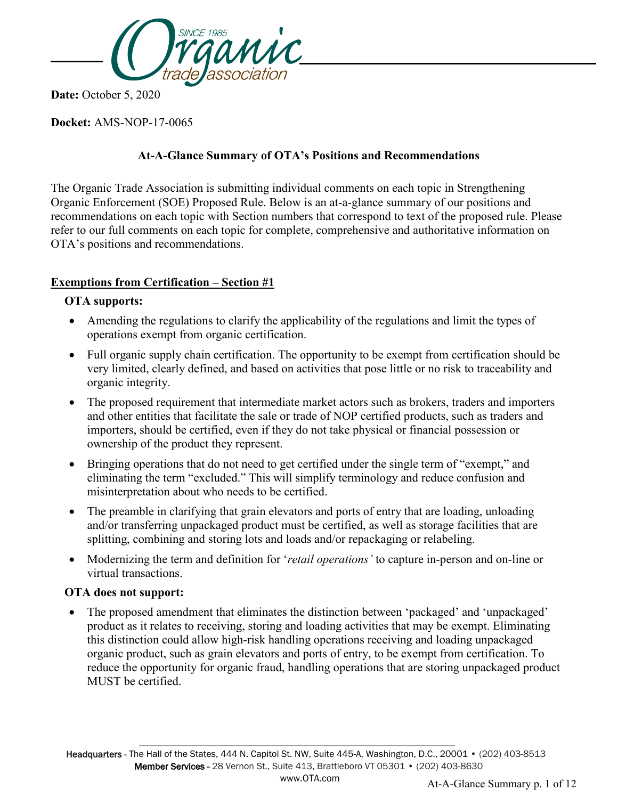

 **Date:** October 5, 2020

**Docket:** AMS-NOP-17-0065

## **At-A-Glance Summary of OTA's Positions and Recommendations**

The Organic Trade Association is submitting individual comments on each topic in Strengthening Organic Enforcement (SOE) Proposed Rule. Below is an at-a-glance summary of our positions and recommendations on each topic with Section numbers that correspond to text of the proposed rule. Please refer to our full comments on each topic for complete, comprehensive and authoritative information on OTA's positions and recommendations.

# **Exemptions from Certification – Section #1**

### **OTA supports:**

- Amending the regulations to clarify the applicability of the regulations and limit the types of operations exempt from organic certification.
- Full organic supply chain certification. The opportunity to be exempt from certification should be very limited, clearly defined, and based on activities that pose little or no risk to traceability and organic integrity.
- The proposed requirement that intermediate market actors such as brokers, traders and importers and other entities that facilitate the sale or trade of NOP certified products, such as traders and importers, should be certified, even if they do not take physical or financial possession or ownership of the product they represent.
- Bringing operations that do not need to get certified under the single term of "exempt," and eliminating the term "excluded." This will simplify terminology and reduce confusion and misinterpretation about who needs to be certified.
- The preamble in clarifying that grain elevators and ports of entry that are loading, unloading and/or transferring unpackaged product must be certified, as well as storage facilities that are splitting, combining and storing lots and loads and/or repackaging or relabeling.
- Modernizing the term and definition for '*retail operations'* to capture in-person and on-line or virtual transactions.

### **OTA does not support:**

• The proposed amendment that eliminates the distinction between 'packaged' and 'unpackaged' product as it relates to receiving, storing and loading activities that may be exempt. Eliminating this distinction could allow high-risk handling operations receiving and loading unpackaged organic product, such as grain elevators and ports of entry, to be exempt from certification. To reduce the opportunity for organic fraud, handling operations that are storing unpackaged product MUST be certified.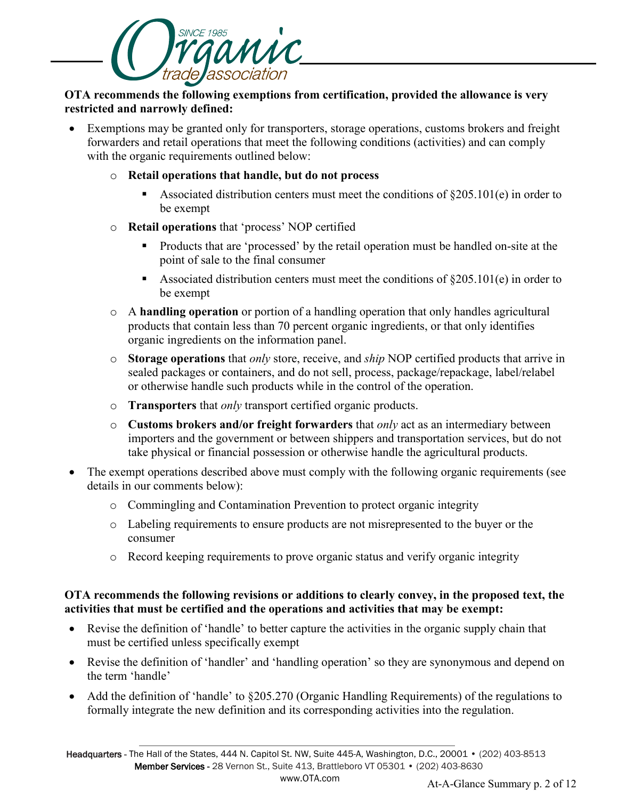

### **OTA recommends the following exemptions from certification, provided the allowance is very restricted and narrowly defined:**

• Exemptions may be granted only for transporters, storage operations, customs brokers and freight forwarders and retail operations that meet the following conditions (activities) and can comply with the organic requirements outlined below:

#### o **Retail operations that handle, but do not process**

- Associated distribution centers must meet the conditions of  $\S 205.101(e)$  in order to be exempt
- o **Retail operations** that 'process' NOP certified
	- Products that are 'processed' by the retail operation must be handled on-site at the point of sale to the final consumer
	- Associated distribution centers must meet the conditions of  $\S205.101(e)$  in order to be exempt
- o A **handling operation** or portion of a handling operation that only handles agricultural products that contain less than 70 percent organic ingredients, or that only identifies organic ingredients on the information panel.
- o **Storage operations** that *only* store, receive, and *ship* NOP certified products that arrive in sealed packages or containers, and do not sell, process, package/repackage, label/relabel or otherwise handle such products while in the control of the operation.
- o **Transporters** that *only* transport certified organic products.
- o **Customs brokers and/or freight forwarders** that *only* act as an intermediary between importers and the government or between shippers and transportation services, but do not take physical or financial possession or otherwise handle the agricultural products.
- The exempt operations described above must comply with the following organic requirements (see details in our comments below):
	- o Commingling and Contamination Prevention to protect organic integrity
	- o Labeling requirements to ensure products are not misrepresented to the buyer or the consumer
	- o Record keeping requirements to prove organic status and verify organic integrity

#### **OTA recommends the following revisions or additions to clearly convey, in the proposed text, the activities that must be certified and the operations and activities that may be exempt:**

- Revise the definition of 'handle' to better capture the activities in the organic supply chain that must be certified unless specifically exempt
- Revise the definition of 'handler' and 'handling operation' so they are synonymous and depend on the term 'handle'
- Add the definition of 'handle' to §205.270 (Organic Handling Requirements) of the regulations to formally integrate the new definition and its corresponding activities into the regulation.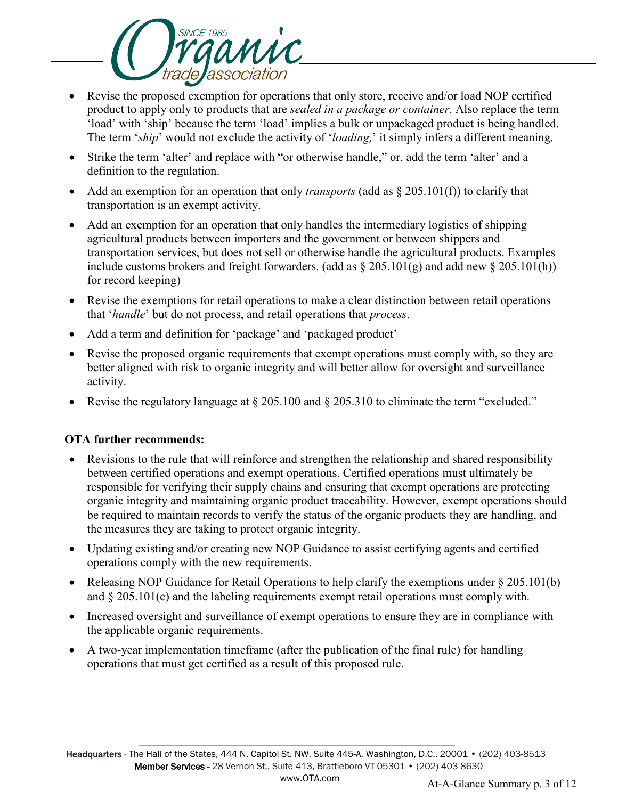

- Revise the proposed exemption for operations that only store, receive and/or load NOP certified product to apply only to products that are *sealed in a package or container*. Also replace the term 'load' with 'ship' because the term 'load' implies a bulk or unpackaged product is being handled. The term '*ship*' would not exclude the activity of '*loading,*' it simply infers a different meaning.
- Strike the term 'alter' and replace with "or otherwise handle," or, add the term 'alter' and a definition to the regulation.
- Add an exemption for an operation that only *transports* (add as § 205.101(f)) to clarify that transportation is an exempt activity.
- Add an exemption for an operation that only handles the intermediary logistics of shipping agricultural products between importers and the government or between shippers and transportation services, but does not sell or otherwise handle the agricultural products. Examples include customs brokers and freight forwarders. (add as  $\S 205.101(g)$  and add new  $\S 205.101(h)$ ) for record keeping)
- Revise the exemptions for retail operations to make a clear distinction between retail operations that '*handle*' but do not process, and retail operations that *process*.
- Add a term and definition for 'package' and 'packaged product'
- Revise the proposed organic requirements that exempt operations must comply with, so they are better aligned with risk to organic integrity and will better allow for oversight and surveillance activity.
- Revise the regulatory language at § 205.100 and § 205.310 to eliminate the term "excluded."

### **OTA further recommends:**

- Revisions to the rule that will reinforce and strengthen the relationship and shared responsibility between certified operations and exempt operations. Certified operations must ultimately be responsible for verifying their supply chains and ensuring that exempt operations are protecting organic integrity and maintaining organic product traceability. However, exempt operations should be required to maintain records to verify the status of the organic products they are handling, and the measures they are taking to protect organic integrity.
- Updating existing and/or creating new NOP Guidance to assist certifying agents and certified operations comply with the new requirements.
- Releasing NOP Guidance for Retail Operations to help clarify the exemptions under § 205.101(b) and § 205.101(c) and the labeling requirements exempt retail operations must comply with.
- Increased oversight and surveillance of exempt operations to ensure they are in compliance with the applicable organic requirements.
- A two-year implementation timeframe (after the publication of the final rule) for handling operations that must get certified as a result of this proposed rule.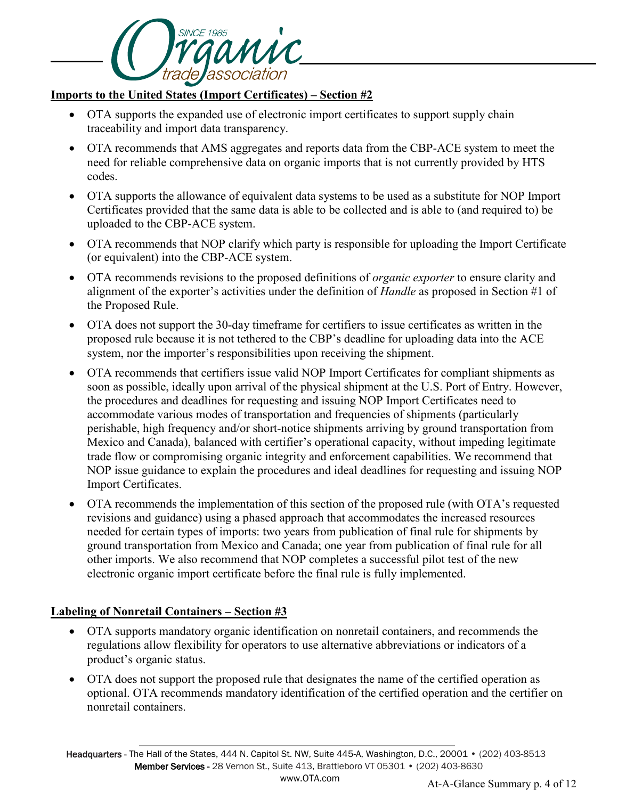

### **Imports to the United States (Import Certificates) – Section #2**

- OTA supports the expanded use of electronic import certificates to support supply chain traceability and import data transparency.
- OTA recommends that AMS aggregates and reports data from the CBP-ACE system to meet the need for reliable comprehensive data on organic imports that is not currently provided by HTS codes.
- OTA supports the allowance of equivalent data systems to be used as a substitute for NOP Import Certificates provided that the same data is able to be collected and is able to (and required to) be uploaded to the CBP-ACE system.
- OTA recommends that NOP clarify which party is responsible for uploading the Import Certificate (or equivalent) into the CBP-ACE system.
- OTA recommends revisions to the proposed definitions of *organic exporter* to ensure clarity and alignment of the exporter's activities under the definition of *Handle* as proposed in Section #1 of the Proposed Rule.
- OTA does not support the 30-day timeframe for certifiers to issue certificates as written in the proposed rule because it is not tethered to the CBP's deadline for uploading data into the ACE system, nor the importer's responsibilities upon receiving the shipment.
- OTA recommends that certifiers issue valid NOP Import Certificates for compliant shipments as soon as possible, ideally upon arrival of the physical shipment at the U.S. Port of Entry. However, the procedures and deadlines for requesting and issuing NOP Import Certificates need to accommodate various modes of transportation and frequencies of shipments (particularly perishable, high frequency and/or short-notice shipments arriving by ground transportation from Mexico and Canada), balanced with certifier's operational capacity, without impeding legitimate trade flow or compromising organic integrity and enforcement capabilities. We recommend that NOP issue guidance to explain the procedures and ideal deadlines for requesting and issuing NOP Import Certificates.
- OTA recommends the implementation of this section of the proposed rule (with OTA's requested revisions and guidance) using a phased approach that accommodates the increased resources needed for certain types of imports: two years from publication of final rule for shipments by ground transportation from Mexico and Canada; one year from publication of final rule for all other imports. We also recommend that NOP completes a successful pilot test of the new electronic organic import certificate before the final rule is fully implemented.

### **Labeling of Nonretail Containers – Section #3**

- OTA supports mandatory organic identification on nonretail containers, and recommends the regulations allow flexibility for operators to use alternative abbreviations or indicators of a product's organic status.
- OTA does not support the proposed rule that designates the name of the certified operation as optional. OTA recommends mandatory identification of the certified operation and the certifier on nonretail containers.

 Headquarters - The Hall of the States, 444 N. Capitol St. NW, Suite 445-A, Washington, D.C., 20001 • (202) 403-8513 Member Services - 28 Vernon St., Suite 413, Brattleboro VT 05301 • (202) 403-8630 www.OTA.com At-A-Glance Summary p. 4 of 12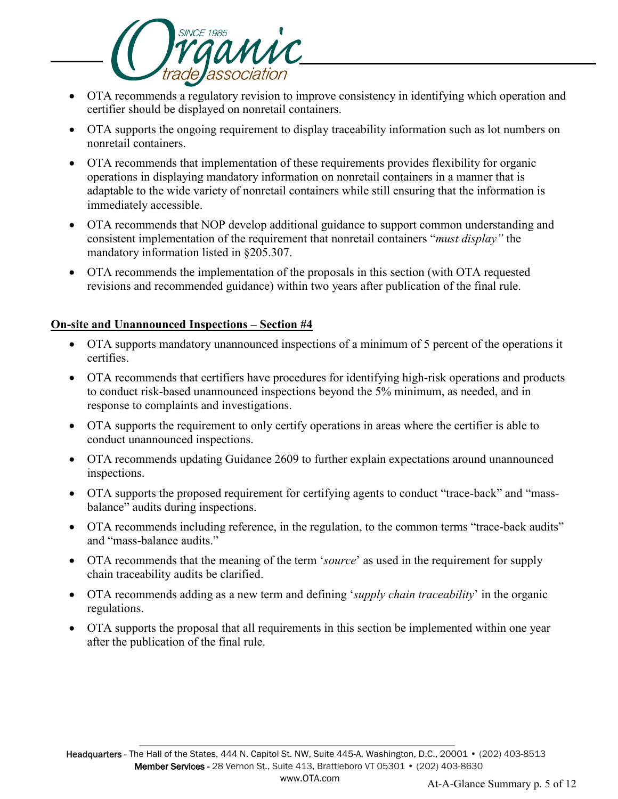

- OTA recommends a regulatory revision to improve consistency in identifying which operation and certifier should be displayed on nonretail containers.
- OTA supports the ongoing requirement to display traceability information such as lot numbers on nonretail containers.
- OTA recommends that implementation of these requirements provides flexibility for organic operations in displaying mandatory information on nonretail containers in a manner that is adaptable to the wide variety of nonretail containers while still ensuring that the information is immediately accessible.
- OTA recommends that NOP develop additional guidance to support common understanding and consistent implementation of the requirement that nonretail containers "*must display"* the mandatory information listed in §205.307.
- OTA recommends the implementation of the proposals in this section (with OTA requested revisions and recommended guidance) within two years after publication of the final rule.

#### **On-site and Unannounced Inspections – Section #4**

- OTA supports mandatory unannounced inspections of a minimum of 5 percent of the operations it certifies.
- OTA recommends that certifiers have procedures for identifying high-risk operations and products to conduct risk-based unannounced inspections beyond the 5% minimum, as needed, and in response to complaints and investigations.
- OTA supports the requirement to only certify operations in areas where the certifier is able to conduct unannounced inspections.
- OTA recommends updating Guidance 2609 to further explain expectations around unannounced inspections.
- OTA supports the proposed requirement for certifying agents to conduct "trace-back" and "massbalance" audits during inspections.
- OTA recommends including reference, in the regulation, to the common terms "trace-back audits" and "mass-balance audits."
- OTA recommends that the meaning of the term '*source*' as used in the requirement for supply chain traceability audits be clarified.
- OTA recommends adding as a new term and defining '*supply chain traceability*' in the organic regulations.
- OTA supports the proposal that all requirements in this section be implemented within one year after the publication of the final rule.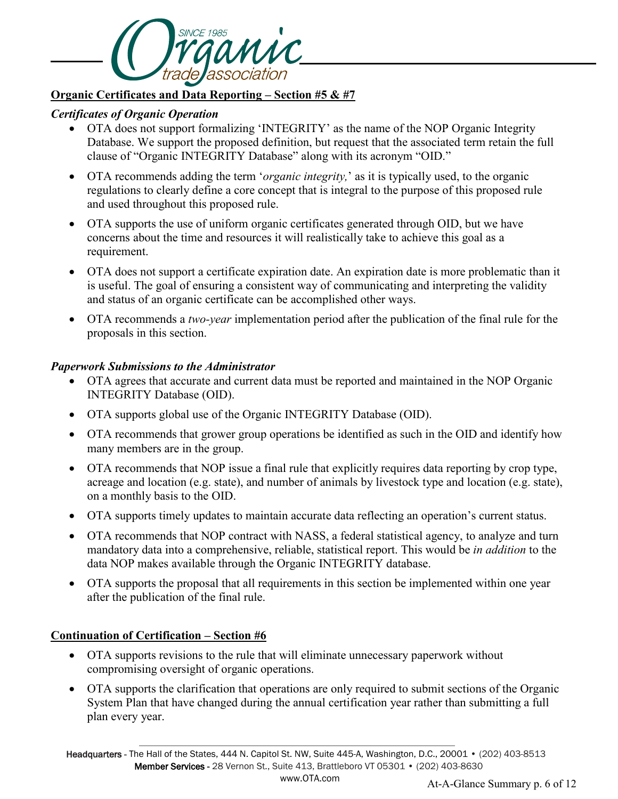

### **Organic Certificates and Data Reporting – Section #5 & #7**

## *Certificates of Organic Operation*

- OTA does not support formalizing 'INTEGRITY' as the name of the NOP Organic Integrity Database. We support the proposed definition, but request that the associated term retain the full clause of "Organic INTEGRITY Database" along with its acronym "OID."
- OTA recommends adding the term '*organic integrity,*' as it is typically used, to the organic regulations to clearly define a core concept that is integral to the purpose of this proposed rule and used throughout this proposed rule.
- OTA supports the use of uniform organic certificates generated through OID, but we have concerns about the time and resources it will realistically take to achieve this goal as a requirement.
- OTA does not support a certificate expiration date. An expiration date is more problematic than it is useful. The goal of ensuring a consistent way of communicating and interpreting the validity and status of an organic certificate can be accomplished other ways.
- OTA recommends a *two-year* implementation period after the publication of the final rule for the proposals in this section.

### *Paperwork Submissions to the Administrator*

- OTA agrees that accurate and current data must be reported and maintained in the NOP Organic INTEGRITY Database (OID).
- OTA supports global use of the Organic INTEGRITY Database (OID).
- OTA recommends that grower group operations be identified as such in the OID and identify how many members are in the group.
- OTA recommends that NOP issue a final rule that explicitly requires data reporting by crop type, acreage and location (e.g. state), and number of animals by livestock type and location (e.g. state), on a monthly basis to the OID.
- OTA supports timely updates to maintain accurate data reflecting an operation's current status.
- OTA recommends that NOP contract with NASS, a federal statistical agency, to analyze and turn mandatory data into a comprehensive, reliable, statistical report. This would be *in addition* to the data NOP makes available through the Organic INTEGRITY database.
- OTA supports the proposal that all requirements in this section be implemented within one year after the publication of the final rule.

# **Continuation of Certification – Section #6**

- OTA supports revisions to the rule that will eliminate unnecessary paperwork without compromising oversight of organic operations.
- OTA supports the clarification that operations are only required to submit sections of the Organic System Plan that have changed during the annual certification year rather than submitting a full plan every year.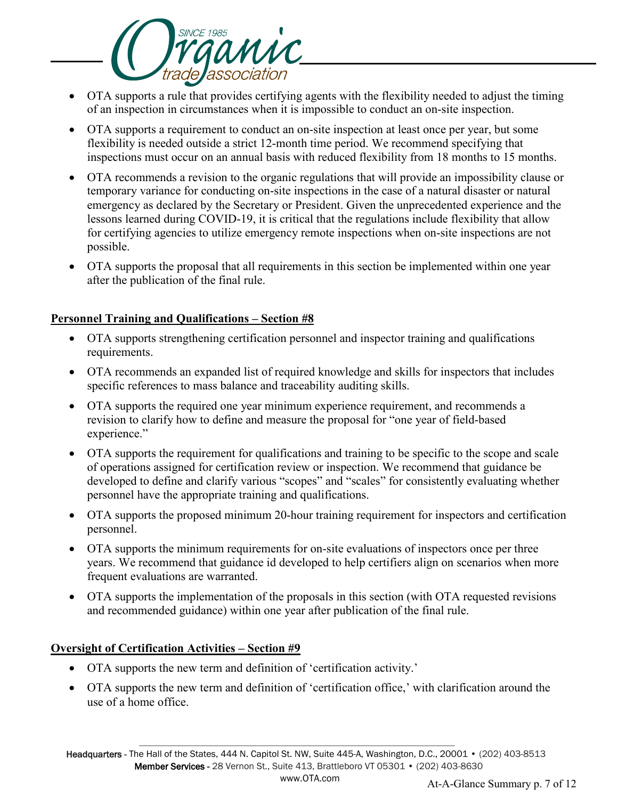

- OTA supports a rule that provides certifying agents with the flexibility needed to adjust the timing of an inspection in circumstances when it is impossible to conduct an on-site inspection.
- OTA supports a requirement to conduct an on-site inspection at least once per year, but some flexibility is needed outside a strict 12-month time period. We recommend specifying that inspections must occur on an annual basis with reduced flexibility from 18 months to 15 months.
- OTA recommends a revision to the organic regulations that will provide an impossibility clause or temporary variance for conducting on-site inspections in the case of a natural disaster or natural emergency as declared by the Secretary or President. Given the unprecedented experience and the lessons learned during COVID-19, it is critical that the regulations include flexibility that allow for certifying agencies to utilize emergency remote inspections when on-site inspections are not possible.
- OTA supports the proposal that all requirements in this section be implemented within one year after the publication of the final rule.

## **Personnel Training and Qualifications – Section #8**

- OTA supports strengthening certification personnel and inspector training and qualifications requirements.
- OTA recommends an expanded list of required knowledge and skills for inspectors that includes specific references to mass balance and traceability auditing skills.
- OTA supports the required one year minimum experience requirement, and recommends a revision to clarify how to define and measure the proposal for "one year of field-based experience."
- OTA supports the requirement for qualifications and training to be specific to the scope and scale of operations assigned for certification review or inspection. We recommend that guidance be developed to define and clarify various "scopes" and "scales" for consistently evaluating whether personnel have the appropriate training and qualifications.
- OTA supports the proposed minimum 20-hour training requirement for inspectors and certification personnel.
- OTA supports the minimum requirements for on-site evaluations of inspectors once per three years. We recommend that guidance id developed to help certifiers align on scenarios when more frequent evaluations are warranted.
- OTA supports the implementation of the proposals in this section (with OTA requested revisions and recommended guidance) within one year after publication of the final rule.

### **Oversight of Certification Activities – Section #9**

- OTA supports the new term and definition of 'certification activity.'
- OTA supports the new term and definition of 'certification office,' with clarification around the use of a home office.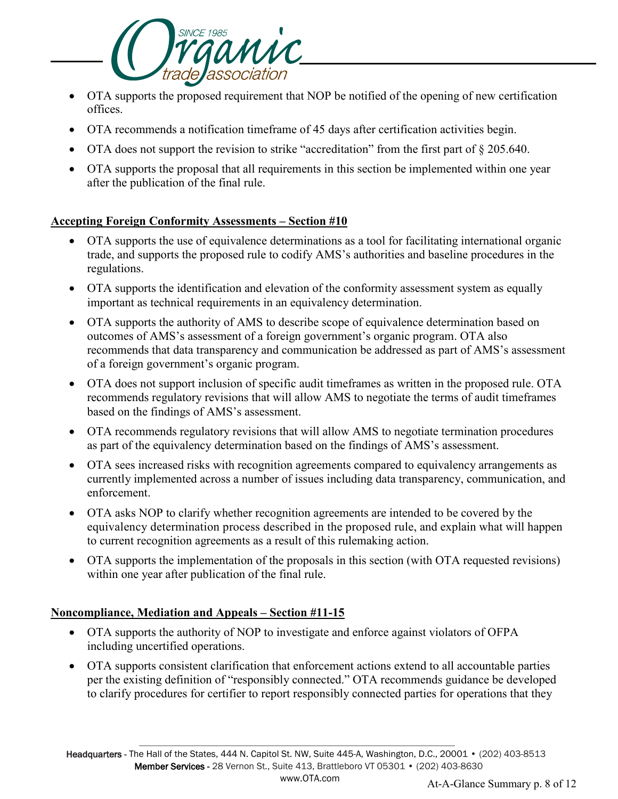

- OTA supports the proposed requirement that NOP be notified of the opening of new certification offices.
- OTA recommends a notification timeframe of 45 days after certification activities begin.
- OTA does not support the revision to strike "accreditation" from the first part of § 205.640.
- OTA supports the proposal that all requirements in this section be implemented within one year after the publication of the final rule.

### **Accepting Foreign Conformity Assessments – Section #10**

- OTA supports the use of equivalence determinations as a tool for facilitating international organic trade, and supports the proposed rule to codify AMS's authorities and baseline procedures in the regulations.
- OTA supports the identification and elevation of the conformity assessment system as equally important as technical requirements in an equivalency determination.
- OTA supports the authority of AMS to describe scope of equivalence determination based on outcomes of AMS's assessment of a foreign government's organic program. OTA also recommends that data transparency and communication be addressed as part of AMS's assessment of a foreign government's organic program.
- OTA does not support inclusion of specific audit timeframes as written in the proposed rule. OTA recommends regulatory revisions that will allow AMS to negotiate the terms of audit timeframes based on the findings of AMS's assessment.
- OTA recommends regulatory revisions that will allow AMS to negotiate termination procedures as part of the equivalency determination based on the findings of AMS's assessment.
- OTA sees increased risks with recognition agreements compared to equivalency arrangements as currently implemented across a number of issues including data transparency, communication, and enforcement.
- OTA asks NOP to clarify whether recognition agreements are intended to be covered by the equivalency determination process described in the proposed rule, and explain what will happen to current recognition agreements as a result of this rulemaking action.
- OTA supports the implementation of the proposals in this section (with OTA requested revisions) within one year after publication of the final rule.

# **Noncompliance, Mediation and Appeals – Section #11-15**

- OTA supports the authority of NOP to investigate and enforce against violators of OFPA including uncertified operations.
- OTA supports consistent clarification that enforcement actions extend to all accountable parties per the existing definition of "responsibly connected." OTA recommends guidance be developed to clarify procedures for certifier to report responsibly connected parties for operations that they

 Headquarters - The Hall of the States, 444 N. Capitol St. NW, Suite 445-A, Washington, D.C., 20001 • (202) 403-8513 Member Services - 28 Vernon St., Suite 413, Brattleboro VT 05301 • (202) 403-8630 www.OTA.com At-A-Glance Summary p. 8 of 12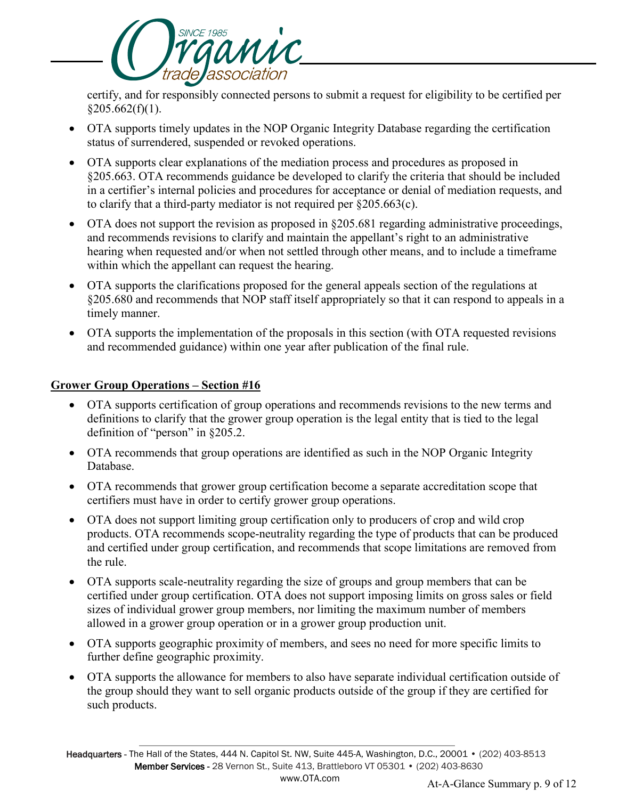

certify, and for responsibly connected persons to submit a request for eligibility to be certified per  $$205.662(f)(1).$ 

- OTA supports timely updates in the NOP Organic Integrity Database regarding the certification status of surrendered, suspended or revoked operations.
- OTA supports clear explanations of the mediation process and procedures as proposed in §205.663. OTA recommends guidance be developed to clarify the criteria that should be included in a certifier's internal policies and procedures for acceptance or denial of mediation requests, and to clarify that a third-party mediator is not required per §205.663(c).
- OTA does not support the revision as proposed in §205.681 regarding administrative proceedings, and recommends revisions to clarify and maintain the appellant's right to an administrative hearing when requested and/or when not settled through other means, and to include a timeframe within which the appellant can request the hearing.
- OTA supports the clarifications proposed for the general appeals section of the regulations at §205.680 and recommends that NOP staff itself appropriately so that it can respond to appeals in a timely manner.
- OTA supports the implementation of the proposals in this section (with OTA requested revisions and recommended guidance) within one year after publication of the final rule.

## **Grower Group Operations – Section #16**

- OTA supports certification of group operations and recommends revisions to the new terms and definitions to clarify that the grower group operation is the legal entity that is tied to the legal definition of "person" in §205.2.
- OTA recommends that group operations are identified as such in the NOP Organic Integrity Database.
- OTA recommends that grower group certification become a separate accreditation scope that certifiers must have in order to certify grower group operations.
- OTA does not support limiting group certification only to producers of crop and wild crop products. OTA recommends scope-neutrality regarding the type of products that can be produced and certified under group certification, and recommends that scope limitations are removed from the rule.
- OTA supports scale-neutrality regarding the size of groups and group members that can be certified under group certification. OTA does not support imposing limits on gross sales or field sizes of individual grower group members, nor limiting the maximum number of members allowed in a grower group operation or in a grower group production unit.
- OTA supports geographic proximity of members, and sees no need for more specific limits to further define geographic proximity.
- OTA supports the allowance for members to also have separate individual certification outside of the group should they want to sell organic products outside of the group if they are certified for such products.

 Headquarters - The Hall of the States, 444 N. Capitol St. NW, Suite 445-A, Washington, D.C., 20001 • (202) 403-8513 Member Services - 28 Vernon St., Suite 413, Brattleboro VT 05301 • (202) 403-8630 www.OTA.com At-A-Glance Summary p. 9 of 12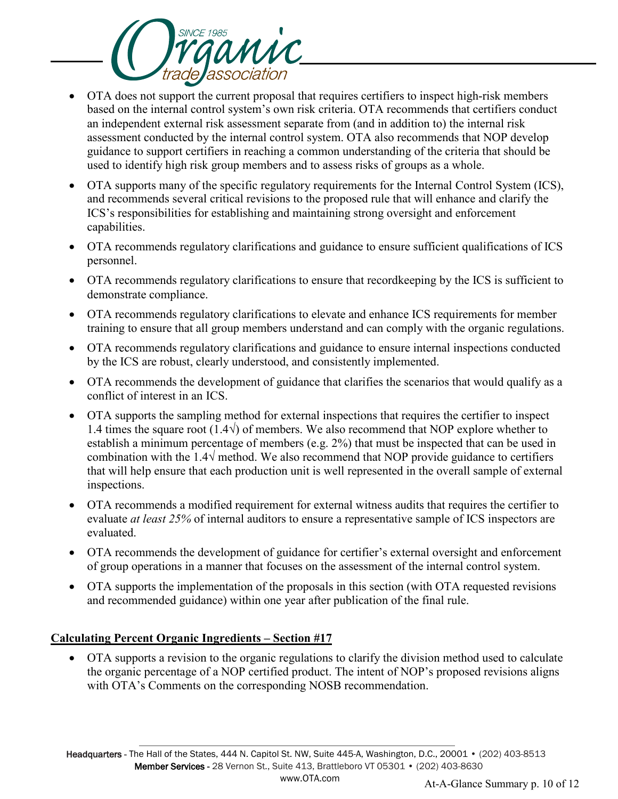

- OTA does not support the current proposal that requires certifiers to inspect high-risk members based on the internal control system's own risk criteria. OTA recommends that certifiers conduct an independent external risk assessment separate from (and in addition to) the internal risk assessment conducted by the internal control system. OTA also recommends that NOP develop guidance to support certifiers in reaching a common understanding of the criteria that should be used to identify high risk group members and to assess risks of groups as a whole.
- OTA supports many of the specific regulatory requirements for the Internal Control System (ICS), and recommends several critical revisions to the proposed rule that will enhance and clarify the ICS's responsibilities for establishing and maintaining strong oversight and enforcement capabilities.
- OTA recommends regulatory clarifications and guidance to ensure sufficient qualifications of ICS personnel.
- OTA recommends regulatory clarifications to ensure that recordkeeping by the ICS is sufficient to demonstrate compliance.
- OTA recommends regulatory clarifications to elevate and enhance ICS requirements for member training to ensure that all group members understand and can comply with the organic regulations.
- OTA recommends regulatory clarifications and guidance to ensure internal inspections conducted by the ICS are robust, clearly understood, and consistently implemented.
- OTA recommends the development of guidance that clarifies the scenarios that would qualify as a conflict of interest in an ICS.
- OTA supports the sampling method for external inspections that requires the certifier to inspect 1.4 times the square root (1.4√) of members. We also recommend that NOP explore whether to establish a minimum percentage of members (e.g. 2%) that must be inspected that can be used in combination with the 1.4 $\sqrt{\ }$  method. We also recommend that NOP provide guidance to certifiers that will help ensure that each production unit is well represented in the overall sample of external inspections.
- OTA recommends a modified requirement for external witness audits that requires the certifier to evaluate *at least 25%* of internal auditors to ensure a representative sample of ICS inspectors are evaluated.
- OTA recommends the development of guidance for certifier's external oversight and enforcement of group operations in a manner that focuses on the assessment of the internal control system.
- OTA supports the implementation of the proposals in this section (with OTA requested revisions and recommended guidance) within one year after publication of the final rule.

# **Calculating Percent Organic Ingredients – Section #17**

• OTA supports a revision to the organic regulations to clarify the division method used to calculate the organic percentage of a NOP certified product. The intent of NOP's proposed revisions aligns with OTA's Comments on the corresponding NOSB recommendation.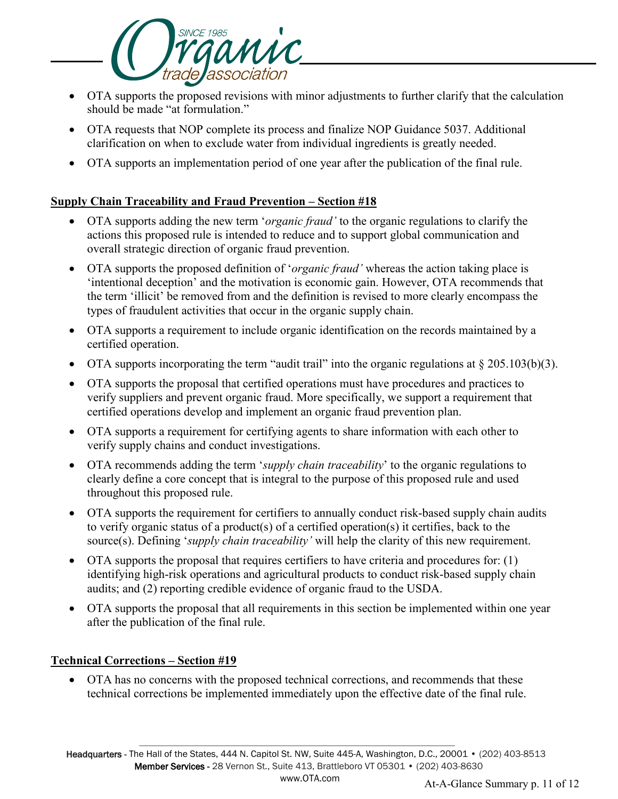

- OTA supports the proposed revisions with minor adjustments to further clarify that the calculation should be made "at formulation."
- OTA requests that NOP complete its process and finalize NOP Guidance 5037. Additional clarification on when to exclude water from individual ingredients is greatly needed.
- OTA supports an implementation period of one year after the publication of the final rule.

## **Supply Chain Traceability and Fraud Prevention – Section #18**

- OTA supports adding the new term '*organic fraud'* to the organic regulations to clarify the actions this proposed rule is intended to reduce and to support global communication and overall strategic direction of organic fraud prevention.
- OTA supports the proposed definition of '*organic fraud'* whereas the action taking place is 'intentional deception' and the motivation is economic gain. However, OTA recommends that the term 'illicit' be removed from and the definition is revised to more clearly encompass the types of fraudulent activities that occur in the organic supply chain.
- OTA supports a requirement to include organic identification on the records maintained by a certified operation.
- OTA supports incorporating the term "audit trail" into the organic regulations at  $\S 205.103(b)(3)$ .
- OTA supports the proposal that certified operations must have procedures and practices to verify suppliers and prevent organic fraud. More specifically, we support a requirement that certified operations develop and implement an organic fraud prevention plan.
- OTA supports a requirement for certifying agents to share information with each other to verify supply chains and conduct investigations.
- OTA recommends adding the term '*supply chain traceability*' to the organic regulations to clearly define a core concept that is integral to the purpose of this proposed rule and used throughout this proposed rule.
- OTA supports the requirement for certifiers to annually conduct risk-based supply chain audits to verify organic status of a product(s) of a certified operation(s) it certifies, back to the source(s). Defining '*supply chain traceability'* will help the clarity of this new requirement.
- OTA supports the proposal that requires certifiers to have criteria and procedures for: (1) identifying high-risk operations and agricultural products to conduct risk-based supply chain audits; and (2) reporting credible evidence of organic fraud to the USDA.
- OTA supports the proposal that all requirements in this section be implemented within one year after the publication of the final rule.

# **Technical Corrections – Section #19**

• OTA has no concerns with the proposed technical corrections, and recommends that these technical corrections be implemented immediately upon the effective date of the final rule.